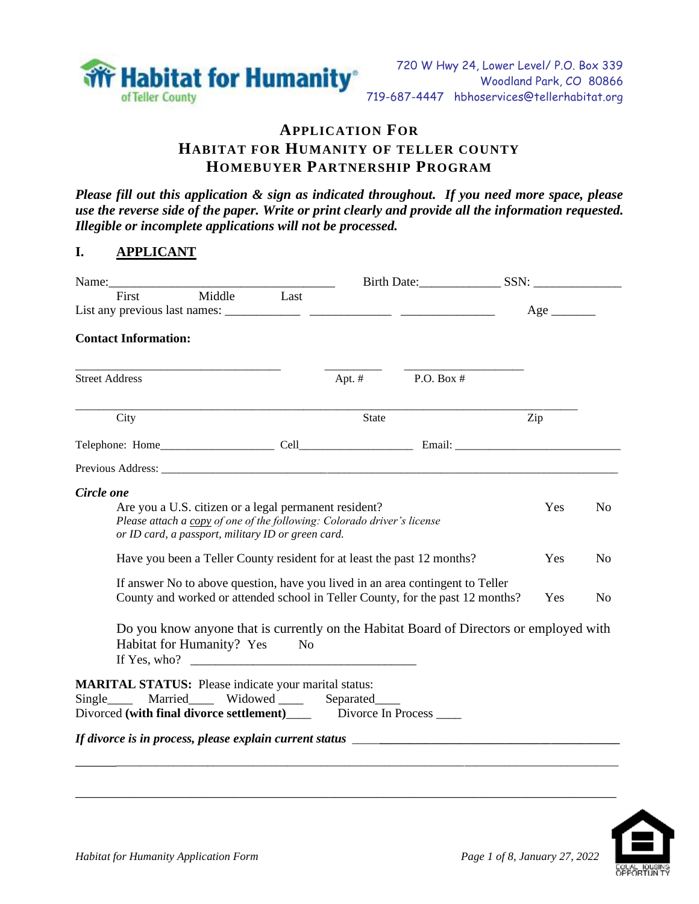

# **APPLICATION FOR HABITAT FOR HUMANITY OF TELLER COUNTY HOMEBUYER PARTNERSHIP PROGRAM**

*Please fill out this application & sign as indicated throughout. If you need more space, please use the reverse side of the paper. Write or print clearly and provide all the information requested. Illegible or incomplete applications will not be processed.*

### **I. APPLICANT**

|                             |                                                                                                                                                                                                                                                                   |              | Birth Date: SSN:                                                                                                                                                                                                                                            |            |                                  |
|-----------------------------|-------------------------------------------------------------------------------------------------------------------------------------------------------------------------------------------------------------------------------------------------------------------|--------------|-------------------------------------------------------------------------------------------------------------------------------------------------------------------------------------------------------------------------------------------------------------|------------|----------------------------------|
|                             | Name:<br>First Middle Last                                                                                                                                                                                                                                        |              |                                                                                                                                                                                                                                                             |            |                                  |
| <b>Contact Information:</b> |                                                                                                                                                                                                                                                                   |              |                                                                                                                                                                                                                                                             |            |                                  |
| <b>Street Address</b>       |                                                                                                                                                                                                                                                                   |              | Apt. $#$ P.O. Box $#$                                                                                                                                                                                                                                       |            |                                  |
| City                        |                                                                                                                                                                                                                                                                   | <b>State</b> |                                                                                                                                                                                                                                                             | Zip        |                                  |
|                             |                                                                                                                                                                                                                                                                   |              |                                                                                                                                                                                                                                                             |            |                                  |
|                             |                                                                                                                                                                                                                                                                   |              |                                                                                                                                                                                                                                                             |            |                                  |
| Circle one                  | Are you a U.S. citizen or a legal permanent resident?<br>Please attach a copy of one of the following: Colorado driver's license<br>or ID card, a passport, military ID or green card.<br>Have you been a Teller County resident for at least the past 12 months? |              |                                                                                                                                                                                                                                                             | Yes<br>Yes | N <sub>0</sub><br>N <sub>0</sub> |
|                             | Habitat for Humanity? Yes No                                                                                                                                                                                                                                      |              | If answer No to above question, have you lived in an area contingent to Teller<br>County and worked or attended school in Teller County, for the past 12 months?<br>Do you know anyone that is currently on the Habitat Board of Directors or employed with | Yes        | N <sub>0</sub>                   |
|                             | <b>MARITAL STATUS:</b> Please indicate your marital status:                                                                                                                                                                                                       |              |                                                                                                                                                                                                                                                             |            |                                  |
|                             | Single_____ Married_____ Widowed _____ Separated____<br>Divorced (with final divorce settlement) _______ Divorce In Process _____                                                                                                                                 |              |                                                                                                                                                                                                                                                             |            |                                  |
|                             |                                                                                                                                                                                                                                                                   |              | If divorce is in process, please explain current status ________________________                                                                                                                                                                            |            |                                  |
|                             |                                                                                                                                                                                                                                                                   |              |                                                                                                                                                                                                                                                             |            |                                  |

\_\_\_\_\_\_\_\_\_\_\_\_\_\_\_\_\_\_\_\_\_\_\_\_\_\_\_\_\_\_\_\_\_\_\_\_\_\_\_\_\_\_\_\_\_\_\_\_\_\_\_\_\_\_\_\_\_\_\_\_\_\_\_\_\_\_\_\_\_\_\_\_\_\_\_\_\_\_\_

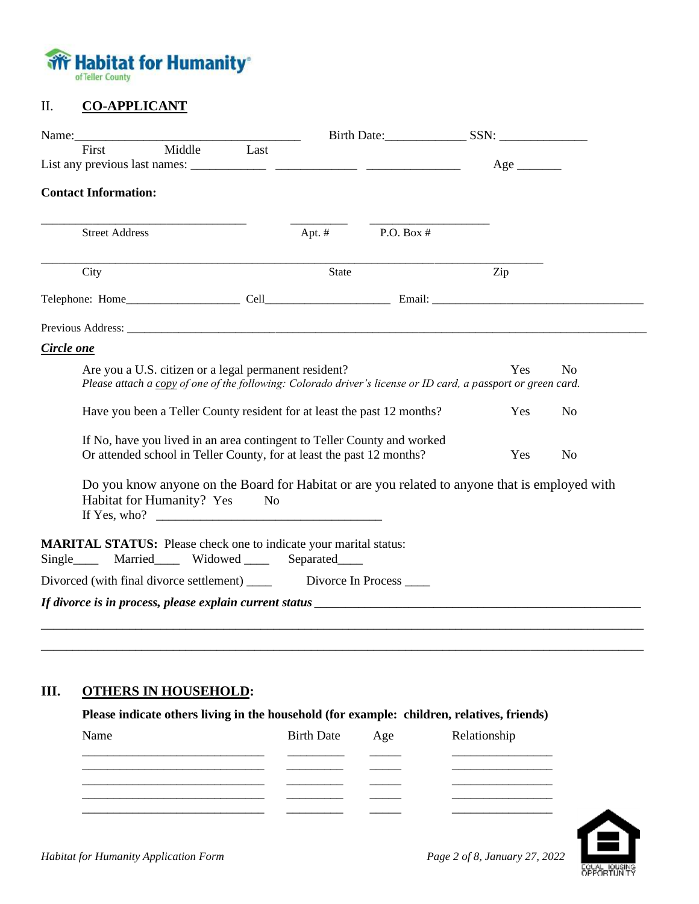

### II. **CO-APPLICANT**

| Middle Last<br>First<br><b>Contact Information:</b><br><b>Street Address</b><br>Apt. $#$<br>State<br>City<br>Are you a U.S. citizen or a legal permanent resident?      | P.O. Box $#$ | Zip |                |
|-------------------------------------------------------------------------------------------------------------------------------------------------------------------------|--------------|-----|----------------|
|                                                                                                                                                                         |              |     |                |
|                                                                                                                                                                         |              |     |                |
|                                                                                                                                                                         |              |     |                |
|                                                                                                                                                                         |              |     |                |
|                                                                                                                                                                         |              |     |                |
| Circle one                                                                                                                                                              |              |     |                |
|                                                                                                                                                                         |              |     |                |
|                                                                                                                                                                         |              |     |                |
| Please attach a copy of one of the following: Colorado driver's license or ID card, a passport or green card.                                                           |              | Yes | N <sub>0</sub> |
| Have you been a Teller County resident for at least the past 12 months?                                                                                                 |              | Yes | N <sub>0</sub> |
| If No, have you lived in an area contingent to Teller County and worked<br>Or attended school in Teller County, for at least the past 12 months?                        |              | Yes | N <sub>o</sub> |
| Do you know anyone on the Board for Habitat or are you related to anyone that is employed with<br>Habitat for Humanity? Yes<br>$\rm No$<br>If Yes, who? $\qquad \qquad$ |              |     |                |
| <b>MARITAL STATUS:</b> Please check one to indicate your marital status:<br>Single_____ Married_____ Widowed _____ Separated____                                        |              |     |                |
|                                                                                                                                                                         |              |     |                |
|                                                                                                                                                                         |              |     |                |

### **III. OTHERS IN HOUSEHOLD:**

| Please indicate others living in the household (for example: children, relatives, friends) |
|--------------------------------------------------------------------------------------------|
|--------------------------------------------------------------------------------------------|

| Name | Birth Date Age | Relationship |
|------|----------------|--------------|
|      |                |              |
|      |                |              |
|      |                |              |
|      |                |              |

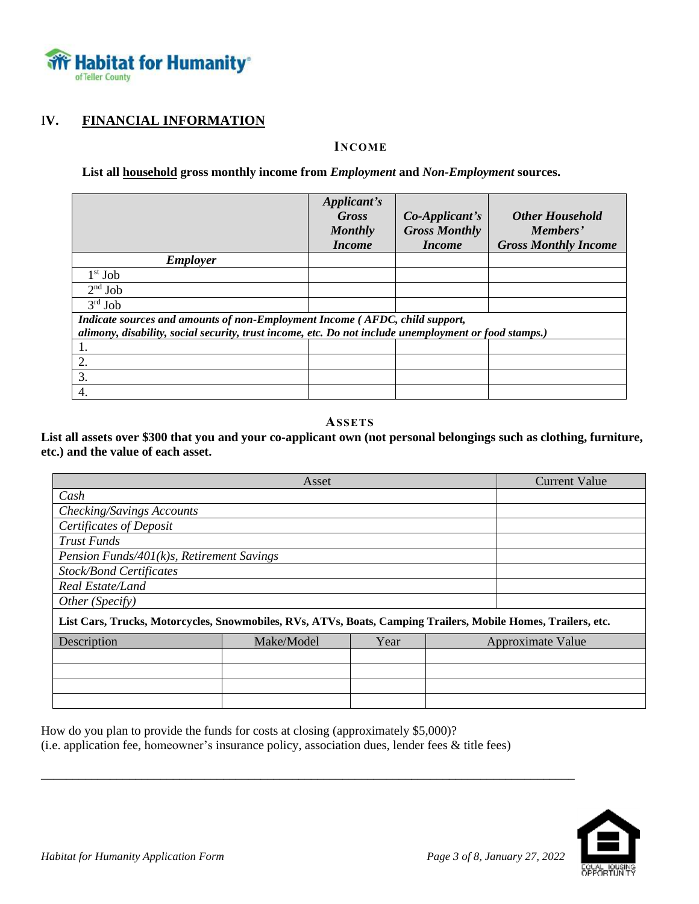

## I**V. FINANCIAL INFORMATION**

#### **INCOME**

**List all household gross monthly income from** *Employment* **and** *Non-Employment* **sources.**

|                                                                                                       | Applicant's    |                         |                             |
|-------------------------------------------------------------------------------------------------------|----------------|-------------------------|-----------------------------|
|                                                                                                       | <b>Gross</b>   | $Co\text{-}Applicant's$ | <b>Other Household</b>      |
|                                                                                                       | <b>Monthly</b> | <b>Gross Monthly</b>    | Members'                    |
|                                                                                                       | <i>Income</i>  | <i>Income</i>           | <b>Gross Monthly Income</b> |
| <b>Employer</b>                                                                                       |                |                         |                             |
| $1st$ Job                                                                                             |                |                         |                             |
| $2nd$ Job                                                                                             |                |                         |                             |
| $3rd$ Job                                                                                             |                |                         |                             |
| Indicate sources and amounts of non-Employment Income (AFDC, child support,                           |                |                         |                             |
| alimony, disability, social security, trust income, etc. Do not include unemployment or food stamps.) |                |                         |                             |
|                                                                                                       |                |                         |                             |
| 2.                                                                                                    |                |                         |                             |
| 3.                                                                                                    |                |                         |                             |
| 4.                                                                                                    |                |                         |                             |

#### **ASSETS**

**List all assets over \$300 that you and your co-applicant own (not personal belongings such as clothing, furniture, etc.) and the value of each asset.**

|                                                                                                               | <b>Current Value</b> |      |  |                   |  |  |
|---------------------------------------------------------------------------------------------------------------|----------------------|------|--|-------------------|--|--|
| Cash                                                                                                          |                      |      |  |                   |  |  |
| Checking/Savings Accounts                                                                                     |                      |      |  |                   |  |  |
| <b>Certificates of Deposit</b>                                                                                |                      |      |  |                   |  |  |
| <b>Trust Funds</b>                                                                                            |                      |      |  |                   |  |  |
| Pension Funds/401(k)s, Retirement Savings                                                                     |                      |      |  |                   |  |  |
| <b>Stock/Bond Certificates</b>                                                                                |                      |      |  |                   |  |  |
| Real Estate/Land                                                                                              |                      |      |  |                   |  |  |
| Other (Specify)                                                                                               |                      |      |  |                   |  |  |
| List Cars, Trucks, Motorcycles, Snowmobiles, RVs, ATVs, Boats, Camping Trailers, Mobile Homes, Trailers, etc. |                      |      |  |                   |  |  |
| Description                                                                                                   | Make/Model           | Year |  | Approximate Value |  |  |
|                                                                                                               |                      |      |  |                   |  |  |
|                                                                                                               |                      |      |  |                   |  |  |
|                                                                                                               |                      |      |  |                   |  |  |
|                                                                                                               |                      |      |  |                   |  |  |

How do you plan to provide the funds for costs at closing (approximately \$5,000)? (i.e. application fee, homeowner's insurance policy, association dues, lender fees & title fees)

\_\_\_\_\_\_\_\_\_\_\_\_\_\_\_\_\_\_\_\_\_\_\_\_\_\_\_\_\_\_\_\_\_\_\_\_\_\_\_\_\_\_\_\_\_\_\_\_\_\_\_\_\_\_\_\_\_\_\_\_\_\_\_\_\_\_\_\_\_\_\_\_\_\_\_\_\_\_\_\_\_\_\_\_\_

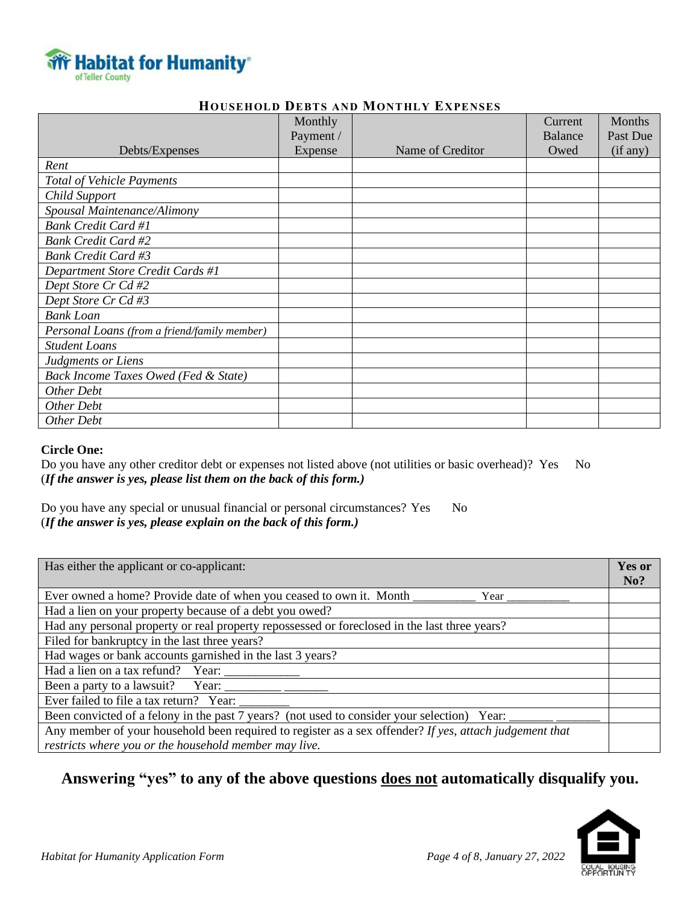

#### **HOUSEHOLD DEBTS AND MONTHLY EXPENSES**

|                                              | Monthly   |                  | Current | <b>Months</b> |
|----------------------------------------------|-----------|------------------|---------|---------------|
|                                              | Payment / |                  | Balance | Past Due      |
| Debts/Expenses                               | Expense   | Name of Creditor | Owed    | (if any)      |
| Rent                                         |           |                  |         |               |
| <b>Total of Vehicle Payments</b>             |           |                  |         |               |
| Child Support                                |           |                  |         |               |
| Spousal Maintenance/Alimony                  |           |                  |         |               |
| <b>Bank Credit Card #1</b>                   |           |                  |         |               |
| <b>Bank Credit Card #2</b>                   |           |                  |         |               |
| <b>Bank Credit Card #3</b>                   |           |                  |         |               |
| Department Store Credit Cards #1             |           |                  |         |               |
| Dept Store Cr Cd #2                          |           |                  |         |               |
| Dept Store Cr Cd #3                          |           |                  |         |               |
| <b>Bank</b> Loan                             |           |                  |         |               |
| Personal Loans (from a friend/family member) |           |                  |         |               |
| <b>Student Loans</b>                         |           |                  |         |               |
| Judgments or Liens                           |           |                  |         |               |
| Back Income Taxes Owed (Fed & State)         |           |                  |         |               |
| Other Debt                                   |           |                  |         |               |
| Other Debt                                   |           |                  |         |               |
| Other Debt                                   |           |                  |         |               |

#### **Circle One:**

Do you have any other creditor debt or expenses not listed above (not utilities or basic overhead)? Yes No (*If the answer is yes, please list them on the back of this form.)*

Do you have any special or unusual financial or personal circumstances? Yes No (*If the answer is yes, please explain on the back of this form.)*

| Has either the applicant or co-applicant:                                                                  | Yes or |
|------------------------------------------------------------------------------------------------------------|--------|
|                                                                                                            | No?    |
| Ever owned a home? Provide date of when you ceased to own it. Month _____<br>Year $\overline{\phantom{a}}$ |        |
| Had a lien on your property because of a debt you owed?                                                    |        |
| Had any personal property or real property repossessed or foreclosed in the last three years?              |        |
| Filed for bankruptcy in the last three years?                                                              |        |
| Had wages or bank accounts garnished in the last 3 years?                                                  |        |
| Had a lien on a tax refund? Year:                                                                          |        |
| Been a party to a lawsuit?<br>Year: $\_\_$                                                                 |        |
| Ever failed to file a tax return? Year:                                                                    |        |
| Been convicted of a felony in the past 7 years? (not used to consider your selection) Year:                |        |
| Any member of your household been required to register as a sex offender? If yes, attach judgement that    |        |
| restricts where you or the household member may live.                                                      |        |

# **Answering "yes" to any of the above questions does not automatically disqualify you.**

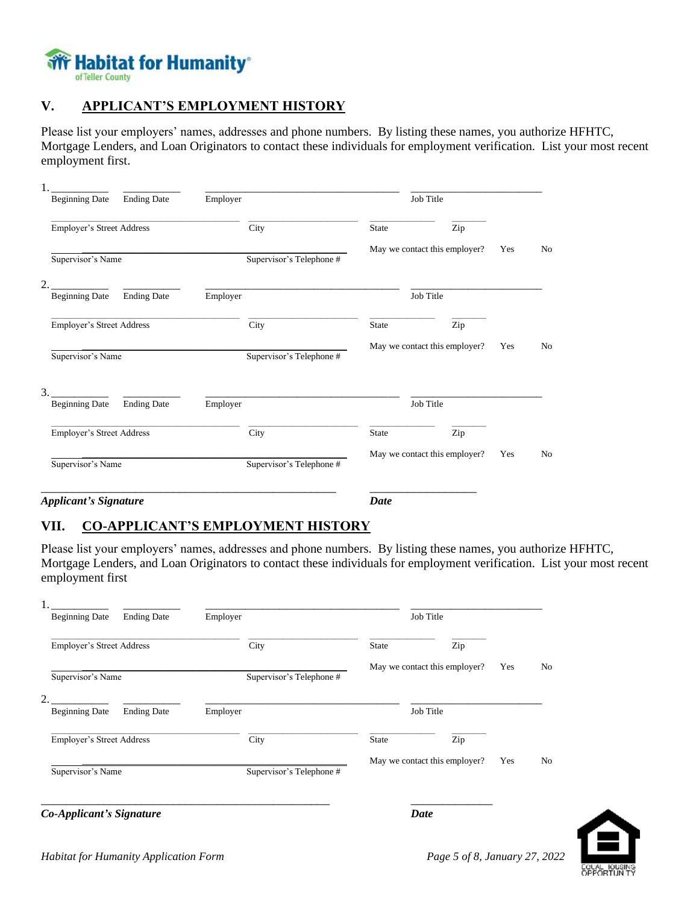

## **V. APPLICANT'S EMPLOYMENT HISTORY**

Please list your employers' names, addresses and phone numbers. By listing these names, you authorize HFHTC, Mortgage Lenders, and Loan Originators to contact these individuals for employment verification. List your most recent employment first.

| <b>Beginning Date</b>                   | <b>Ending Date</b> | Employer |                          |              | Job Title                     |     |                |
|-----------------------------------------|--------------------|----------|--------------------------|--------------|-------------------------------|-----|----------------|
| Employer's Street Address               |                    |          | City                     | <b>State</b> | Zip                           |     |                |
| Supervisor's Name                       |                    |          | Supervisor's Telephone # |              | May we contact this employer? | Yes | N <sub>0</sub> |
| $\overline{2}$<br><b>Beginning Date</b> | <b>Ending Date</b> | Employer |                          |              | Job Title                     |     |                |
| Employer's Street Address               |                    |          | City                     | <b>State</b> | Zip                           |     |                |
| Supervisor's Name                       |                    |          | Supervisor's Telephone # |              | May we contact this employer? | Yes | No             |
| 3.<br><b>Beginning Date</b>             | <b>Ending Date</b> | Employer |                          |              | Job Title                     |     |                |
| Employer's Street Address               |                    |          | City                     | State        | Zip                           |     |                |
| Supervisor's Name                       |                    |          | Supervisor's Telephone # |              | May we contact this employer? | Yes | N <sub>0</sub> |
| <b>Applicant's Signature</b>            |                    |          |                          | <b>Date</b>  |                               |     |                |

## **VII. CO-APPLICANT'S EMPLOYMENT HISTORY**

Please list your employers' names, addresses and phone numbers. By listing these names, you authorize HFHTC, Mortgage Lenders, and Loan Originators to contact these individuals for employment verification. List your most recent employment first

| <b>Beginning Date</b>            | <b>Ending Date</b> | Employer |                          |              | Job Title                     |     |    |
|----------------------------------|--------------------|----------|--------------------------|--------------|-------------------------------|-----|----|
| <b>Employer's Street Address</b> |                    |          | City                     | <b>State</b> | Zip                           |     |    |
| Supervisor's Name                |                    |          | Supervisor's Telephone # |              | May we contact this employer? | Yes | No |
| 2.<br><b>Beginning Date</b>      | <b>Ending Date</b> | Employer |                          |              | Job Title                     |     |    |
| <b>Employer's Street Address</b> |                    |          | City                     | <b>State</b> | Zip                           |     |    |
| Supervisor's Name                |                    |          | Supervisor's Telephone # |              | May we contact this employer? | Yes | No |
| Co-Applicant's Signature         |                    |          |                          |              | Date                          |     |    |

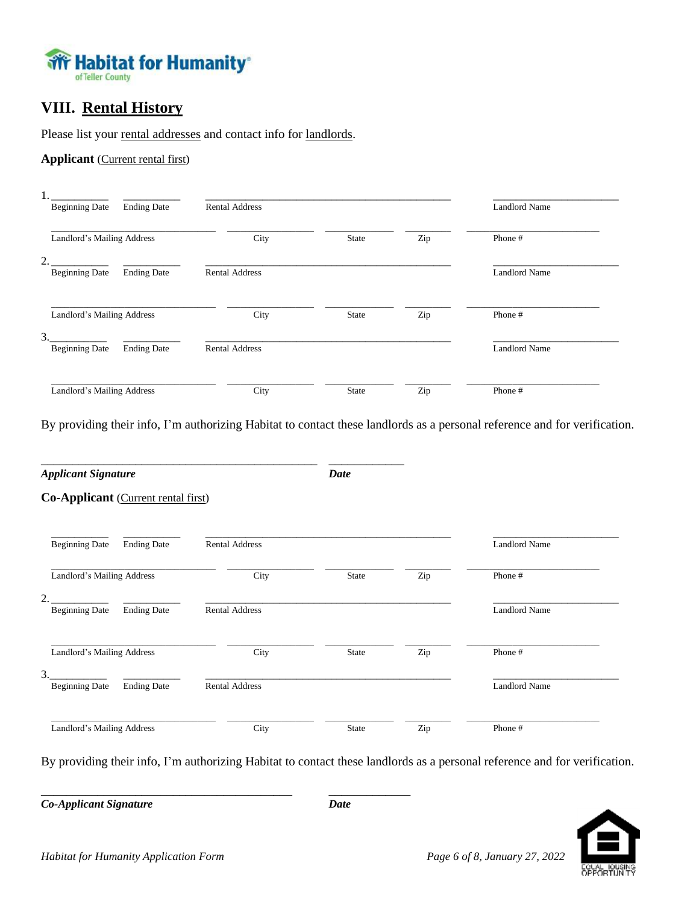

# **VIII. Rental History**

Please list your rental addresses and contact info for landlords.

**Applicant** (Current rental first)

| <b>Beginning Date</b><br><b>Ending Date</b>                   | <b>Rental Address</b> |              |     | <b>Landlord Name</b> |  |
|---------------------------------------------------------------|-----------------------|--------------|-----|----------------------|--|
| Landlord's Mailing Address                                    | City                  | <b>State</b> | Zip | Phone #              |  |
| $\mathfrak{D}$<br><b>Beginning Date</b><br><b>Ending Date</b> | <b>Rental Address</b> |              |     | <b>Landlord Name</b> |  |
| Landlord's Mailing Address                                    | City                  | <b>State</b> | Zip | Phone #              |  |
| 3.<br><b>Beginning Date</b><br><b>Ending Date</b>             | <b>Rental Address</b> |              |     | <b>Landlord Name</b> |  |
| Landlord's Mailing Address                                    | City                  | <b>State</b> | Zip | Phone #              |  |

By providing their info, I'm authorizing Habitat to contact these landlords as a personal reference and for verification.

| <b>Applicant Signature</b>                                    |                       | Date         |     |                      |
|---------------------------------------------------------------|-----------------------|--------------|-----|----------------------|
| Co-Applicant (Current rental first)                           |                       |              |     |                      |
| <b>Beginning Date</b><br><b>Ending Date</b>                   | <b>Rental Address</b> |              |     | <b>Landlord Name</b> |
| Landlord's Mailing Address                                    | City                  | <b>State</b> | Zip | Phone #              |
| $\mathfrak{D}$<br><b>Ending Date</b><br><b>Beginning Date</b> | <b>Rental Address</b> |              |     | <b>Landlord Name</b> |
| Landlord's Mailing Address                                    | City                  | <b>State</b> | Zip | Phone #              |
| 3.<br><b>Ending Date</b><br><b>Beginning Date</b>             | <b>Rental Address</b> |              |     | <b>Landlord Name</b> |
| Landlord's Mailing Address                                    | City                  | State        | Zip | Phone #              |

By providing their info, I'm authorizing Habitat to contact these landlords as a personal reference and for verification.

*Co-Applicant Signature* Date



**\_\_\_\_\_\_\_\_\_\_\_\_\_\_\_\_\_\_\_\_\_\_\_\_\_\_\_\_\_\_\_\_\_\_\_\_\_\_\_\_ \_\_\_\_\_\_\_\_\_\_\_\_\_**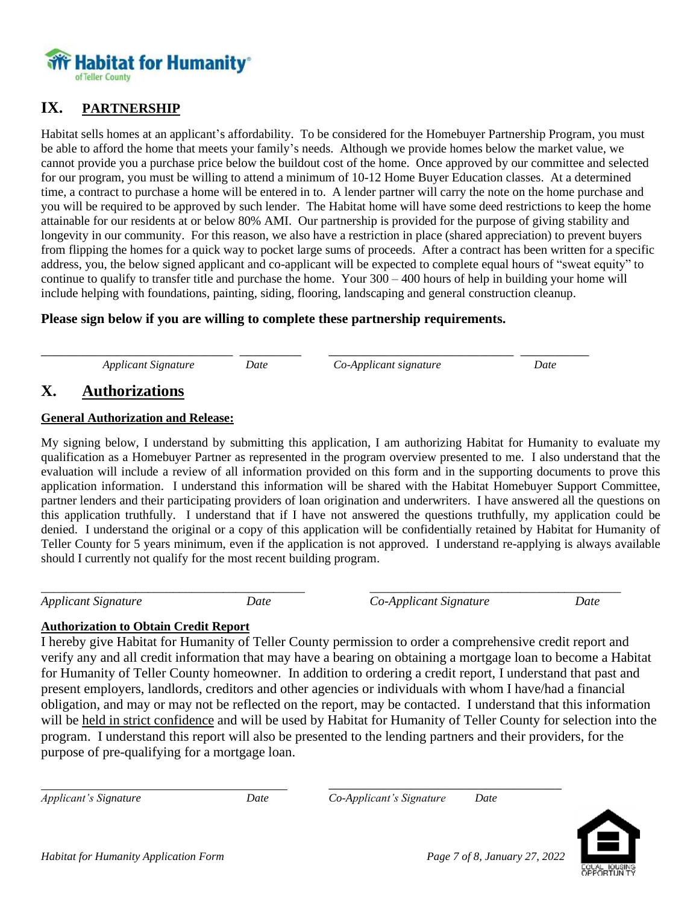

## **IX. PARTNERSHIP**

Habitat sells homes at an applicant's affordability. To be considered for the Homebuyer Partnership Program, you must be able to afford the home that meets your family's needs. Although we provide homes below the market value, we cannot provide you a purchase price below the buildout cost of the home. Once approved by our committee and selected for our program, you must be willing to attend a minimum of 10-12 Home Buyer Education classes. At a determined time, a contract to purchase a home will be entered in to. A lender partner will carry the note on the home purchase and you will be required to be approved by such lender. The Habitat home will have some deed restrictions to keep the home attainable for our residents at or below 80% AMI. Our partnership is provided for the purpose of giving stability and longevity in our community. For this reason, we also have a restriction in place (shared appreciation) to prevent buyers from flipping the homes for a quick way to pocket large sums of proceeds. After a contract has been written for a specific address, you, the below signed applicant and co-applicant will be expected to complete equal hours of "sweat equity" to continue to qualify to transfer title and purchase the home. Your 300 – 400 hours of help in building your home will include helping with foundations, painting, siding, flooring, landscaping and general construction cleanup.

### **Please sign below if you are willing to complete these partnership requirements.**

\_\_\_\_\_\_\_\_\_\_\_\_\_\_\_\_\_\_\_\_\_\_\_\_\_\_\_\_ \_\_\_\_\_\_\_\_\_ \_\_\_\_\_\_\_\_\_\_\_\_\_\_\_\_\_\_\_\_\_\_\_\_\_\_\_ \_\_\_\_\_\_\_\_\_\_ *Applicant Signature Date Co-Applicant signature Date*

## **X. Authorizations**

### **General Authorization and Release:**

My signing below, I understand by submitting this application, I am authorizing Habitat for Humanity to evaluate my qualification as a Homebuyer Partner as represented in the program overview presented to me. I also understand that the evaluation will include a review of all information provided on this form and in the supporting documents to prove this application information. I understand this information will be shared with the Habitat Homebuyer Support Committee, partner lenders and their participating providers of loan origination and underwriters. I have answered all the questions on this application truthfully. I understand that if I have not answered the questions truthfully, my application could be denied. I understand the original or a copy of this application will be confidentially retained by Habitat for Humanity of Teller County for 5 years minimum, even if the application is not approved. I understand re-applying is always available should I currently not qualify for the most recent building program.

\_\_\_\_\_\_\_\_\_\_\_\_\_\_\_\_\_\_\_\_\_\_\_\_\_\_\_\_\_\_\_\_\_\_\_\_\_\_\_\_\_\_ \_\_\_\_\_\_\_\_\_\_\_\_\_\_\_\_\_\_\_\_\_\_\_\_\_\_\_\_\_\_\_\_\_\_\_\_\_\_\_\_

*Applicant Signature Date Co-Applicant Signature Date*

### **Authorization to Obtain Credit Report**

I hereby give Habitat for Humanity of Teller County permission to order a comprehensive credit report and verify any and all credit information that may have a bearing on obtaining a mortgage loan to become a Habitat for Humanity of Teller County homeowner. In addition to ordering a credit report, I understand that past and present employers, landlords, creditors and other agencies or individuals with whom I have/had a financial obligation, and may or may not be reflected on the report, may be contacted. I understand that this information will be held in strict confidence and will be used by Habitat for Humanity of Teller County for selection into the program. I understand this report will also be presented to the lending partners and their providers, for the purpose of pre-qualifying for a mortgage loan.

\_\_\_\_\_\_\_\_\_\_\_\_\_\_\_\_\_\_\_\_\_\_\_\_\_\_\_\_\_\_\_\_\_\_ *Applicant's Signature Date Co-Applicant's Signature Date*

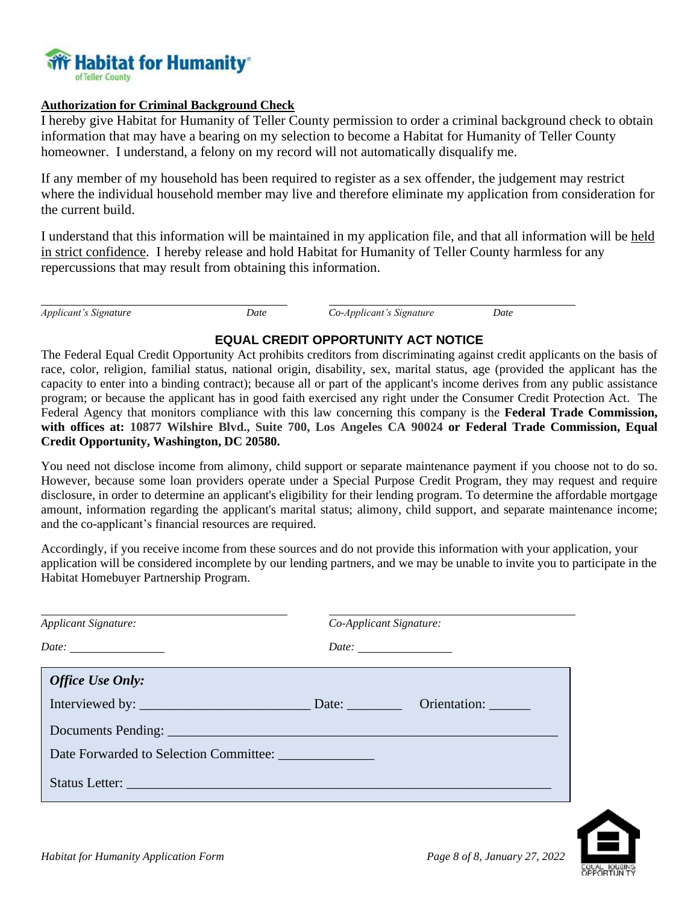

#### **Authorization for Criminal Background Check**

I hereby give Habitat for Humanity of Teller County permission to order a criminal background check to obtain information that may have a bearing on my selection to become a Habitat for Humanity of Teller County homeowner. I understand, a felony on my record will not automatically disqualify me.

If any member of my household has been required to register as a sex offender, the judgement may restrict where the individual household member may live and therefore eliminate my application from consideration for the current build.

I understand that this information will be maintained in my application file, and that all information will be held in strict confidence. I hereby release and hold Habitat for Humanity of Teller County harmless for any repercussions that may result from obtaining this information.

*Applicant's Signature Date Co-Applicant's Signature Date*

### **EQUAL CREDIT OPPORTUNITY ACT NOTICE**

The Federal Equal Credit Opportunity Act prohibits creditors from discriminating against credit applicants on the basis of race, color, religion, familial status, national origin, disability, sex, marital status, age (provided the applicant has the capacity to enter into a binding contract); because all or part of the applicant's income derives from any public assistance program; or because the applicant has in good faith exercised any right under the Consumer Credit Protection Act. The Federal Agency that monitors compliance with this law concerning this company is the **Federal Trade Commission, with offices at: 10877 Wilshire Blvd., Suite 700, Los Angeles CA 90024 or Federal Trade Commission, Equal Credit Opportunity, Washington, DC 20580.**

You need not disclose income from alimony, child support or separate maintenance payment if you choose not to do so. However, because some loan providers operate under a Special Purpose Credit Program, they may request and require disclosure, in order to determine an applicant's eligibility for their lending program. To determine the affordable mortgage amount, information regarding the applicant's marital status; alimony, child support, and separate maintenance income; and the co-applicant's financial resources are required.

Accordingly, if you receive income from these sources and do not provide this information with your application, your application will be considered incomplete by our lending partners, and we may be unable to invite you to participate in the Habitat Homebuyer Partnership Program.

| Applicant Signature:                                                                                                                                                                                                                                                                                                                                                                                                     | Co-Applicant Signature: |  |
|--------------------------------------------------------------------------------------------------------------------------------------------------------------------------------------------------------------------------------------------------------------------------------------------------------------------------------------------------------------------------------------------------------------------------|-------------------------|--|
| Date: $\frac{1}{\sqrt{1-\frac{1}{2}}}\frac{1}{\sqrt{1-\frac{1}{2}}}\frac{1}{\sqrt{1-\frac{1}{2}}}\frac{1}{\sqrt{1-\frac{1}{2}}}\frac{1}{\sqrt{1-\frac{1}{2}}}\frac{1}{\sqrt{1-\frac{1}{2}}}\frac{1}{\sqrt{1-\frac{1}{2}}}\frac{1}{\sqrt{1-\frac{1}{2}}}\frac{1}{\sqrt{1-\frac{1}{2}}}\frac{1}{\sqrt{1-\frac{1}{2}}}\frac{1}{\sqrt{1-\frac{1}{2}}}\frac{1}{\sqrt{1-\frac{1}{2}}}\frac{1}{\sqrt{1-\frac{1}{2}}}\frac{1}{\$ |                         |  |
| <b>Office Use Only:</b>                                                                                                                                                                                                                                                                                                                                                                                                  |                         |  |
|                                                                                                                                                                                                                                                                                                                                                                                                                          |                         |  |
|                                                                                                                                                                                                                                                                                                                                                                                                                          |                         |  |
| Date Forwarded to Selection Committee:                                                                                                                                                                                                                                                                                                                                                                                   |                         |  |
|                                                                                                                                                                                                                                                                                                                                                                                                                          |                         |  |